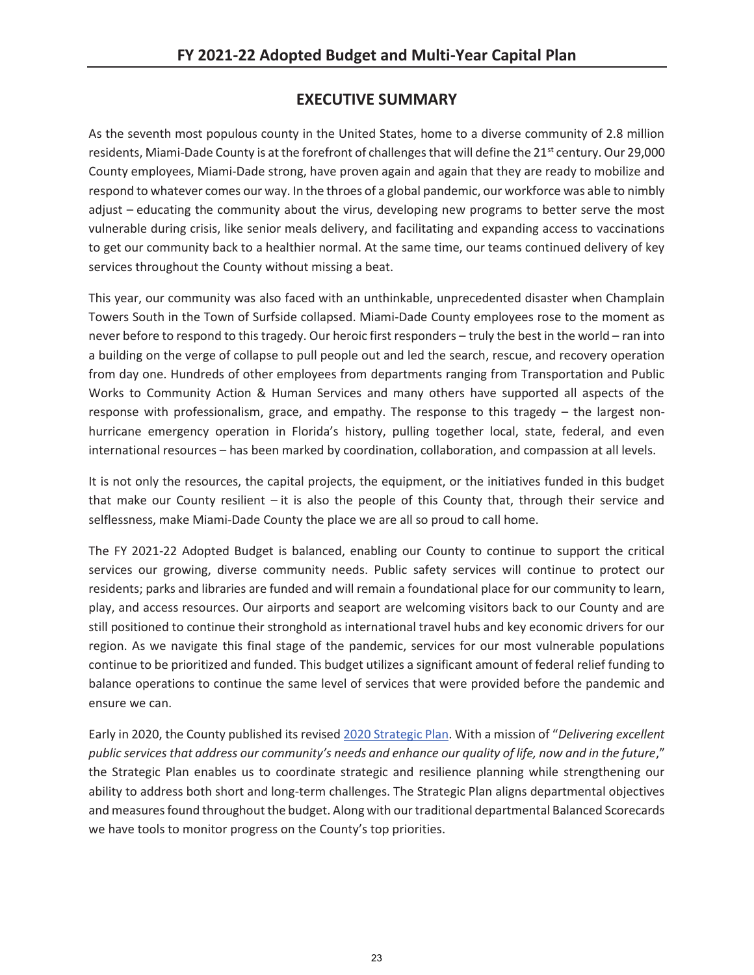## **EXECUTIVE SUMMARY**

As the seventh most populous county in the United States, home to a diverse community of 2.8 million residents, Miami-Dade County is at the forefront of challenges that will define the  $21^{st}$  century. Our 29,000 County employees, Miami-Dade strong, have proven again and again that they are ready to mobilize and respond to whatever comes our way. In the throes of a global pandemic, our workforce was able to nimbly adjust – educating the community about the virus, developing new programs to better serve the most vulnerable during crisis, like senior meals delivery, and facilitating and expanding access to vaccinations to get our community back to a healthier normal. At the same time, our teams continued delivery of key services throughout the County without missing a beat.

This year, our community was also faced with an unthinkable, unprecedented disaster when Champlain Towers South in the Town of Surfside collapsed. Miami-Dade County employees rose to the moment as never before to respond to this tragedy. Our heroic first responders – truly the best in the world – ran into a building on the verge of collapse to pull people out and led the search, rescue, and recovery operation from day one. Hundreds of other employees from departments ranging from Transportation and Public Works to Community Action & Human Services and many others have supported all aspects of the response with professionalism, grace, and empathy. The response to this tragedy – the largest nonhurricane emergency operation in Florida's history, pulling together local, state, federal, and even international resources – has been marked by coordination, collaboration, and compassion at all levels.

It is not only the resources, the capital projects, the equipment, or the initiatives funded in this budget that make our County resilient – it is also the people of this County that, through their service and selflessness, make Miami-Dade County the place we are all so proud to call home.

The FY 2021-22 Adopted Budget is balanced, enabling our County to continue to support the critical services our growing, diverse community needs. Public safety services will continue to protect our residents; parks and libraries are funded and will remain a foundational place for our community to learn, play, and access resources. Our airports and seaport are welcoming visitors back to our County and are still positioned to continue their stronghold as international travel hubs and key economic drivers for our region. As we navigate this final stage of the pandemic, services for our most vulnerable populations continue to be prioritized and funded. This budget utilizes a significant amount of federal relief funding to balance operations to continue the same level of services that were provided before the pandemic and ensure we can.

Early in 2020, the County published its revised 2020 Strategic Plan. With a mission of "*Delivering excellent public services that address our community's needs and enhance our quality of life, now and in the future*," the Strategic Plan enables us to coordinate strategic and resilience planning while strengthening our ability to address both short and long-term challenges. The Strategic Plan aligns departmental objectives and measures found throughout the budget. Along with our traditional departmental Balanced Scorecards we have tools to monitor progress on the County's top priorities.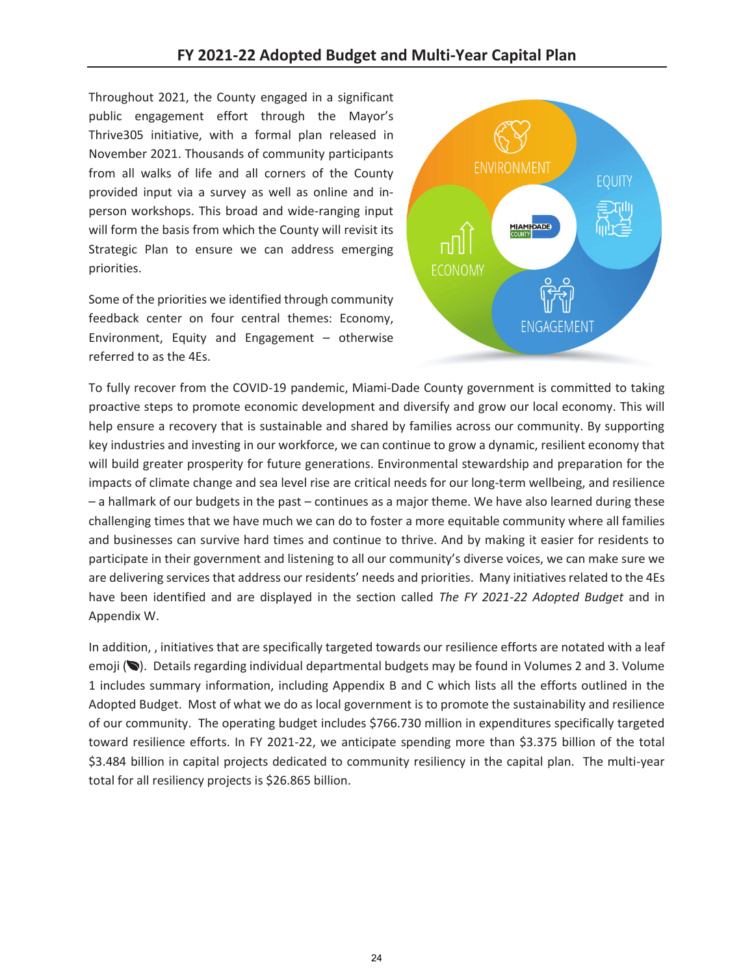Throughout 2021, the County engaged in a significant public engagement effort through the Mayor's Thrive305 initiative, with a formal plan released in November 2021. Thousands of community participants from all walks of life and all corners of the County provided input via a survey as well as online and inperson workshops. This broad and wide-ranging input will form the basis from which the County will revisit its Strategic Plan to ensure we can address emerging priorities.

Some of the priorities we identified through community feedback center on four central themes: Economy, Environment, Equity and Engagement – otherwise referred to as the 4Es.



To fully recover from the COVID-19 pandemic, Miami-Dade County government is committed to taking proactive steps to promote economic development and diversify and grow our local economy. This will help ensure a recovery that is sustainable and shared by families across our community. By supporting key industries and investing in our workforce, we can continue to grow a dynamic, resilient economy that will build greater prosperity for future generations. Environmental stewardship and preparation for the impacts of climate change and sea level rise are critical needs for our long-term wellbeing, and resilience – a hallmark of our budgets in the past – continues as a major theme. We have also learned during these challenging times that we have much we can do to foster a more equitable community where all families and businesses can survive hard times and continue to thrive. And by making it easier for residents to participate in their government and listening to all our community's diverse voices, we can make sure we are delivering services that address our residents' needs and priorities. Many initiatives related to the 4Es have been identified and are displayed in the section called *The FY 2021-22 Adopted Budget* and in Appendix W.

In addition, , initiatives that are specifically targeted towards our resilience efforts are notated with a leaf emoji ( $\bullet$ ). Details regarding individual departmental budgets may be found in Volumes 2 and 3. Volume 1 includes summary information, including Appendix B and C which lists all the efforts outlined in the Adopted Budget. Most of what we do as local government is to promote the sustainability and resilience of our community. The operating budget includes \$766.730 million in expenditures specifically targeted toward resilience efforts. In FY 2021-22, we anticipate spending more than \$3.375 billion of the total \$3.484 billion in capital projects dedicated to community resiliency in the capital plan. The multi-year total for all resiliency projects is \$26.865 billion.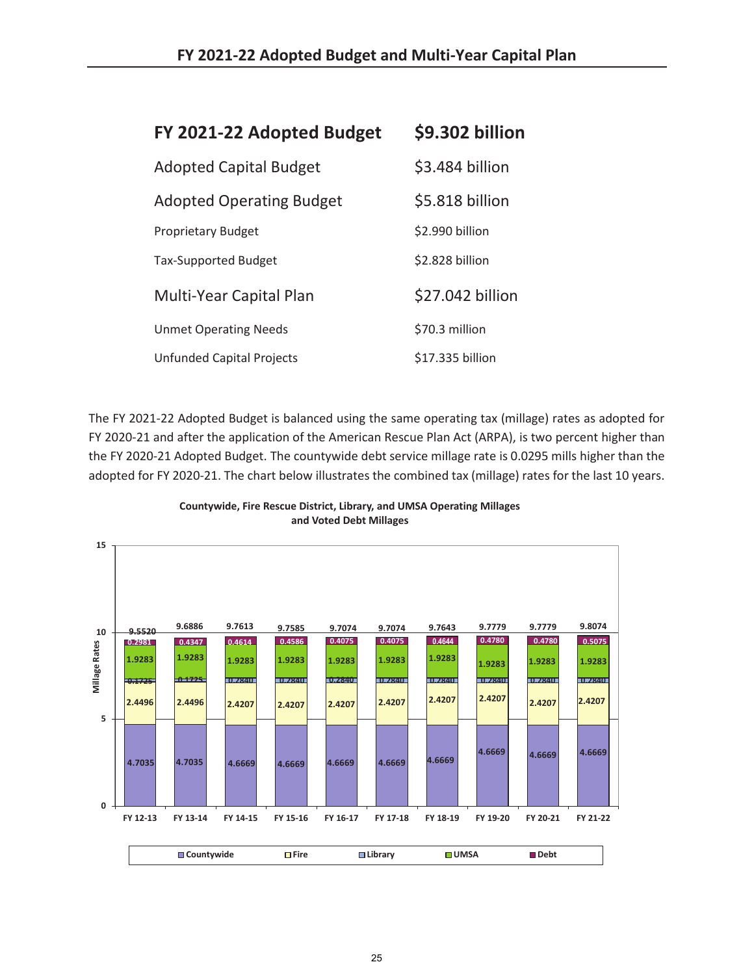| FY 2021-22 Adopted Budget       | \$9.302 billion  |
|---------------------------------|------------------|
| <b>Adopted Capital Budget</b>   | \$3.484 billion  |
| <b>Adopted Operating Budget</b> | \$5.818 billion  |
| <b>Proprietary Budget</b>       | \$2.990 billion  |
| <b>Tax-Supported Budget</b>     | \$2.828 billion  |
| <b>Multi-Year Capital Plan</b>  | \$27.042 billion |
| <b>Unmet Operating Needs</b>    | \$70.3 million   |
| Unfunded Capital Projects       | \$17.335 billion |

The FY 2021-22 Adopted Budget is balanced using the same operating tax (millage) rates as adopted for FY 2020-21 and after the application of the American Rescue Plan Act (ARPA), is two percent higher than the FY 2020-21 Adopted Budget. The countywide debt service millage rate is 0.0295 mills higher than the adopted for FY 2020-21. The chart below illustrates the combined tax (millage) rates for the last 10 years.



**Countywide, Fire Rescue District, Library, and UMSA Operating Millages and Voted Debt Millages**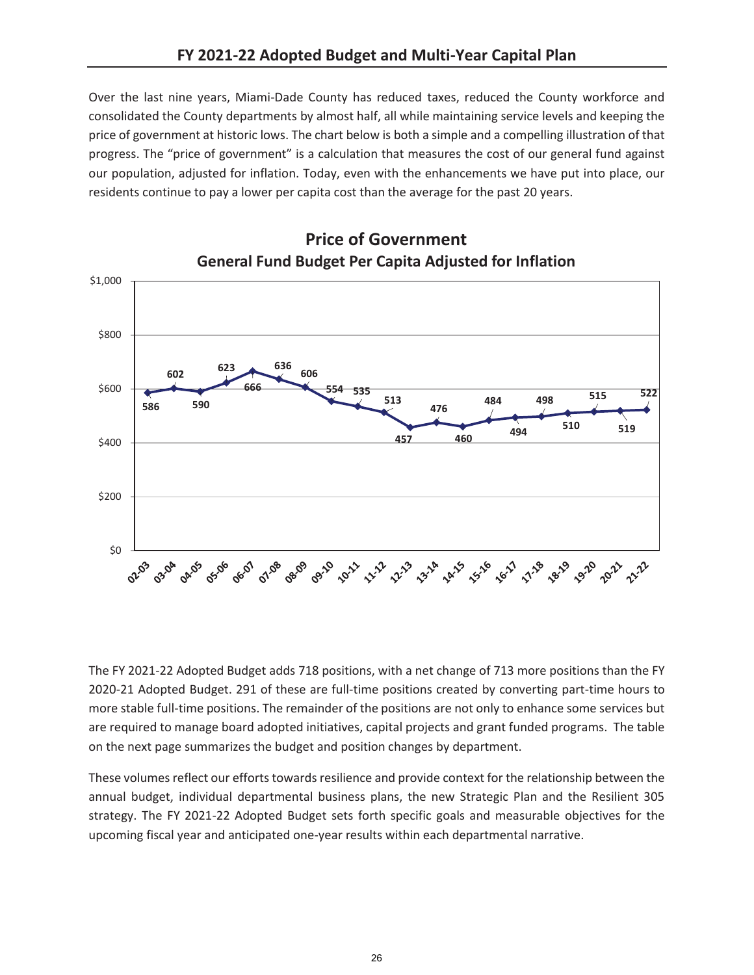Over the last nine years, Miami-Dade County has reduced taxes, reduced the County workforce and consolidated the County departments by almost half, all while maintaining service levels and keeping the price of government at historic lows. The chart below is both a simple and a compelling illustration of that progress. The "price of government" is a calculation that measures the cost of our general fund against our population, adjusted for inflation. Today, even with the enhancements we have put into place, our residents continue to pay a lower per capita cost than the average for the past 20 years.



## **Price of Government**

The FY 2021-22 Adopted Budget adds 718 positions, with a net change of 713 more positions than the FY 2020-21 Adopted Budget. 291 of these are full-time positions created by converting part-time hours to more stable full-time positions. The remainder of the positions are not only to enhance some services but are required to manage board adopted initiatives, capital projects and grant funded programs. The table on the next page summarizes the budget and position changes by department.

These volumes reflect our efforts towards resilience and provide context for the relationship between the annual budget, individual departmental business plans, the new Strategic Plan and the Resilient 305 strategy. The FY 2021-22 Adopted Budget sets forth specific goals and measurable objectives for the upcoming fiscal year and anticipated one-year results within each departmental narrative.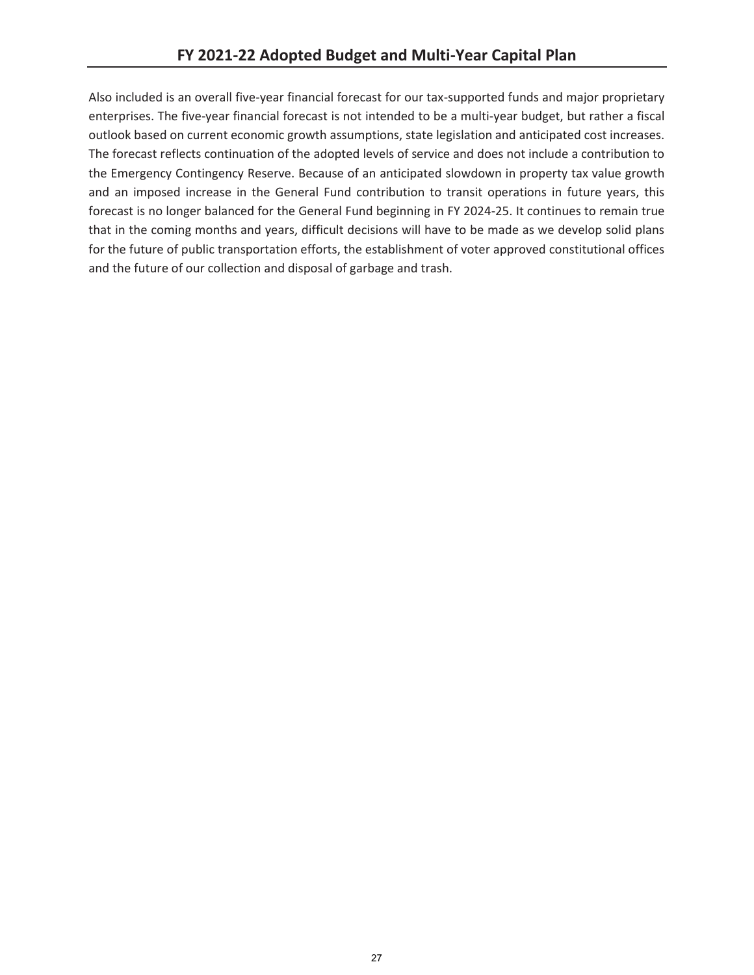Also included is an overall five-year financial forecast for our tax-supported funds and major proprietary enterprises. The five-year financial forecast is not intended to be a multi-year budget, but rather a fiscal outlook based on current economic growth assumptions, state legislation and anticipated cost increases. The forecast reflects continuation of the adopted levels of service and does not include a contribution to the Emergency Contingency Reserve. Because of an anticipated slowdown in property tax value growth and an imposed increase in the General Fund contribution to transit operations in future years, this forecast is no longer balanced for the General Fund beginning in FY 2024-25. It continues to remain true that in the coming months and years, difficult decisions will have to be made as we develop solid plans for the future of public transportation efforts, the establishment of voter approved constitutional offices and the future of our collection and disposal of garbage and trash.